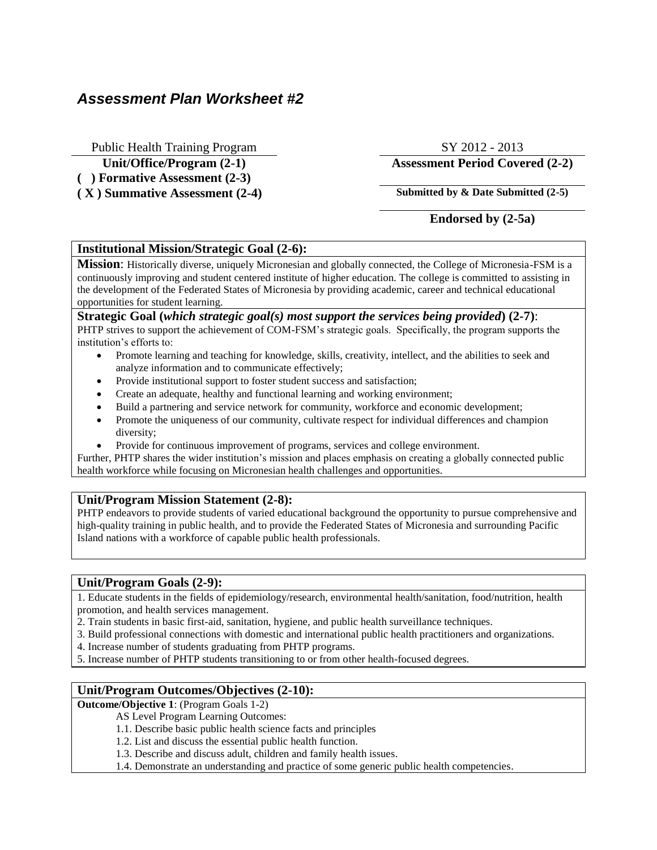# *Assessment Plan Worksheet #2*

Public Health Training Program SY 2012 - 2013

**( ) Formative Assessment (2-3)**

**( X ) Summative Assessment (2-4) Submitted by & Date Submitted (2-5)**

## **Unit/Office/Program (2-1) Assessment Period Covered (2-2)**

# **Endorsed by (2-5a)**

#### **Institutional Mission/Strategic Goal (2-6):**

**Mission**: Historically diverse, uniquely Micronesian and globally connected, the College of Micronesia-FSM is a continuously improving and student centered institute of higher education. The college is committed to assisting in the development of the Federated States of Micronesia by providing academic, career and technical educational opportunities for student learning.

#### **Strategic Goal (***which strategic goal(s) most support the services being provided***) (2-7)**: PHTP strives to support the achievement of COM-FSM's strategic goals. Specifically, the program supports the institution's efforts to:

- Promote learning and teaching for knowledge, skills, creativity, intellect, and the abilities to seek and analyze information and to communicate effectively;
- Provide institutional support to foster student success and satisfaction;
- Create an adequate, healthy and functional learning and working environment;
- Build a partnering and service network for community, workforce and economic development;
- Promote the uniqueness of our community, cultivate respect for individual differences and champion diversity;
- Provide for continuous improvement of programs, services and college environment.

Further, PHTP shares the wider institution's mission and places emphasis on creating a globally connected public health workforce while focusing on Micronesian health challenges and opportunities.

### **Unit/Program Mission Statement (2-8):**

PHTP endeavors to provide students of varied educational background the opportunity to pursue comprehensive and high-quality training in public health, and to provide the Federated States of Micronesia and surrounding Pacific Island nations with a workforce of capable public health professionals.

### **Unit/Program Goals (2-9):**

1. Educate students in the fields of epidemiology/research, environmental health/sanitation, food/nutrition, health promotion, and health services management.

- 2. Train students in basic first-aid, sanitation, hygiene, and public health surveillance techniques.
- 3. Build professional connections with domestic and international public health practitioners and organizations.
- 4. Increase number of students graduating from PHTP programs.
- 5. Increase number of PHTP students transitioning to or from other health-focused degrees.

### **Unit/Program Outcomes/Objectives (2-10):**

**Outcome/Objective 1**: (Program Goals 1-2)

AS Level Program Learning Outcomes:

- 1.1. Describe basic public health science facts and principles
- 1.2. List and discuss the essential public health function.
- 1.3. Describe and discuss adult, children and family health issues.
- 1.4. Demonstrate an understanding and practice of some generic public health competencies.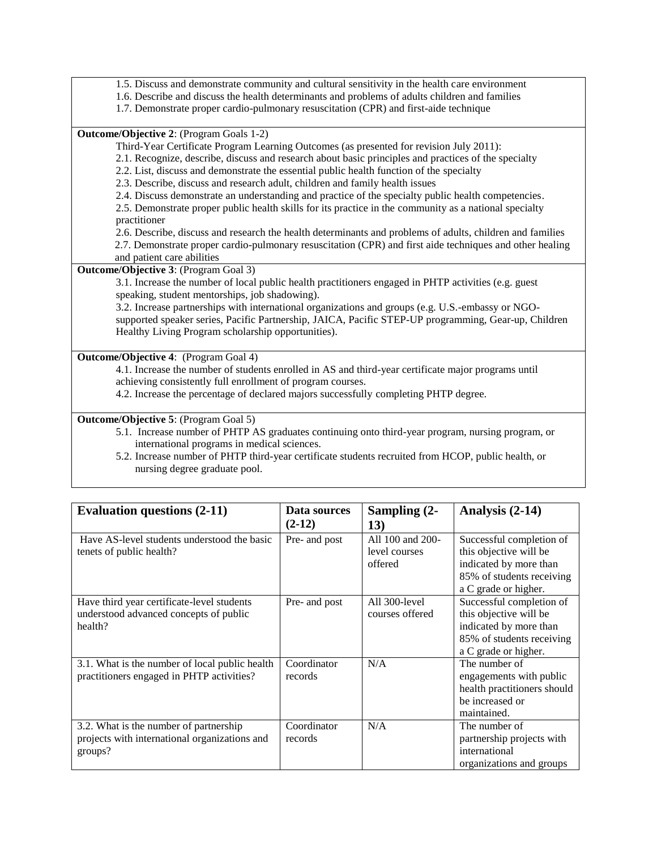- 1.5. Discuss and demonstrate community and cultural sensitivity in the health care environment
- 1.6. Describe and discuss the health determinants and problems of adults children and families
- 1.7. Demonstrate proper cardio-pulmonary resuscitation (CPR) and first-aide technique

**Outcome/Objective 2**: (Program Goals 1-2)

- Third-Year Certificate Program Learning Outcomes (as presented for revision July 2011):
- 2.1. Recognize, describe, discuss and research about basic principles and practices of the specialty
- 2.2. List, discuss and demonstrate the essential public health function of the specialty
- 2.3. Describe, discuss and research adult, children and family health issues
- 2.4. Discuss demonstrate an understanding and practice of the specialty public health competencies.

2.5. Demonstrate proper public health skills for its practice in the community as a national specialty practitioner

2.6. Describe, discuss and research the health determinants and problems of adults, children and families

2.7. Demonstrate proper cardio-pulmonary resuscitation (CPR) and first aide techniques and other healing

and patient care abilities

**Outcome/Objective 3**: (Program Goal 3)

3.1. Increase the number of local public health practitioners engaged in PHTP activities (e.g. guest speaking, student mentorships, job shadowing).

3.2. Increase partnerships with international organizations and groups (e.g. U.S.-embassy or NGOsupported speaker series, Pacific Partnership, JAICA, Pacific STEP-UP programming, Gear-up, Children Healthy Living Program scholarship opportunities).

**Outcome/Objective 4**: (Program Goal 4)

4.1. Increase the number of students enrolled in AS and third-year certificate major programs until achieving consistently full enrollment of program courses.

4.2. Increase the percentage of declared majors successfully completing PHTP degree.

**Outcome/Objective 5**: (Program Goal 5)

- 5.1. Increase number of PHTP AS graduates continuing onto third-year program, nursing program, or international programs in medical sciences.
- 5.2. Increase number of PHTP third-year certificate students recruited from HCOP, public health, or nursing degree graduate pool.

| <b>Evaluation questions (2-11)</b>                                                                 | Data sources<br>$(2-12)$ | Sampling (2-<br>13)                          | Analysis (2-14)                                                                                                                   |
|----------------------------------------------------------------------------------------------------|--------------------------|----------------------------------------------|-----------------------------------------------------------------------------------------------------------------------------------|
| Have AS-level students understood the basic<br>tenets of public health?                            | Pre- and post            | All 100 and 200-<br>level courses<br>offered | Successful completion of<br>this objective will be<br>indicated by more than<br>85% of students receiving<br>a C grade or higher. |
| Have third year certificate-level students<br>understood advanced concepts of public<br>health?    | Pre- and post            | All 300-level<br>courses offered             | Successful completion of<br>this objective will be<br>indicated by more than<br>85% of students receiving<br>a C grade or higher. |
| 3.1. What is the number of local public health<br>practitioners engaged in PHTP activities?        | Coordinator<br>records   | N/A                                          | The number of<br>engagements with public<br>health practitioners should<br>be increased or<br>maintained.                         |
| 3.2. What is the number of partnership<br>projects with international organizations and<br>groups? | Coordinator<br>records   | N/A                                          | The number of<br>partnership projects with<br>international<br>organizations and groups                                           |